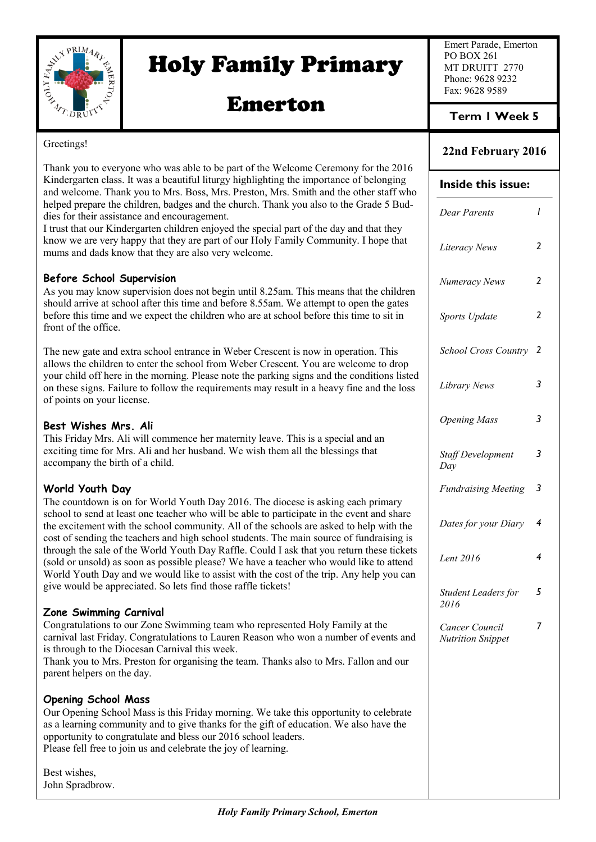

# Holy Family Primary

# Emerton

Emert Parade, Emerton PO BOX 261 MT DRUITT 2770 Phone: 9628 9232 Fax: 9628 9589

**Term 1 Week 5**

**22nd February 2016**

### Greetings!

Thank you to everyone who was able to be part of the Welcome Ceremony for the 2016 Kindergarten class. It was a beautiful liturgy highlighting the importance of belonging and welcome. Thank you to Mrs. Boss, Mrs. Preston, Mrs. Smith and the other staff who helped prepare the children, badges and the church. Thank you also to the Grade 5 Buddies for their assistance and encouragement.

I trust that our Kindergarten children enjoyed the special part of the day and that they know we are very happy that they are part of our Holy Family Community. I hope that mums and dads know that they are also very welcome.

### **Before School Supervision**

As you may know supervision does not begin until 8.25am. This means that the children should arrive at school after this time and before 8.55am. We attempt to open the gates before this time and we expect the children who are at school before this time to sit in front of the office.

The new gate and extra school entrance in Weber Crescent is now in operation. This allows the children to enter the school from Weber Crescent. You are welcome to drop your child off here in the morning. Please note the parking signs and the conditions listed on these signs. Failure to follow the requirements may result in a heavy fine and the loss of points on your license.

### **Best Wishes Mrs. Ali**

This Friday Mrs. Ali will commence her maternity leave. This is a special and an exciting time for Mrs. Ali and her husband. We wish them all the blessings that accompany the birth of a child.

## **World Youth Day**

The countdown is on for World Youth Day 2016. The diocese is asking each primary school to send at least one teacher who will be able to participate in the event and share the excitement with the school community. All of the schools are asked to help with the cost of sending the teachers and high school students. The main source of fundraising is through the sale of the World Youth Day Raffle. Could I ask that you return these tickets (sold or unsold) as soon as possible please? We have a teacher who would like to attend World Youth Day and we would like to assist with the cost of the trip. Any help you can give would be appreciated. So lets find those raffle tickets!

## **Zone Swimming Carnival**

Congratulations to our Zone Swimming team who represented Holy Family at the carnival last Friday. Congratulations to Lauren Reason who won a number of events and is through to the Diocesan Carnival this week.

Thank you to Mrs. Preston for organising the team. Thanks also to Mrs. Fallon and our parent helpers on the day.

## **Opening School Mass**

Our Opening School Mass is this Friday morning. We take this opportunity to celebrate as a learning community and to give thanks for the gift of education. We also have the opportunity to congratulate and bless our 2016 school leaders. Please fell free to join us and celebrate the joy of learning.

Best wishes, John Spradbrow.

*Holy Family Primary School, Emerton*

# **Inside this issue:**

| Dear Parents                               | I              |
|--------------------------------------------|----------------|
| Literacy News                              | 2              |
| Numeracy News                              | 2              |
| Sports Update                              | $\overline{2}$ |
| <b>School Cross Country</b>                | 2              |
| Library News                               | 3              |
| <b>Opening Mass</b>                        | 3              |
| <b>Staff Development</b><br>Day            | 3              |
| <b>Fundraising Meeting</b>                 | 3              |
| Dates for your Diary                       | 4              |
| Lent 2016                                  | 4              |
| Student Leaders for<br>2016                | 5              |
| Cancer Council<br><b>Nutrition Snippet</b> | 7              |
|                                            |                |
|                                            |                |
|                                            |                |
|                                            |                |
|                                            |                |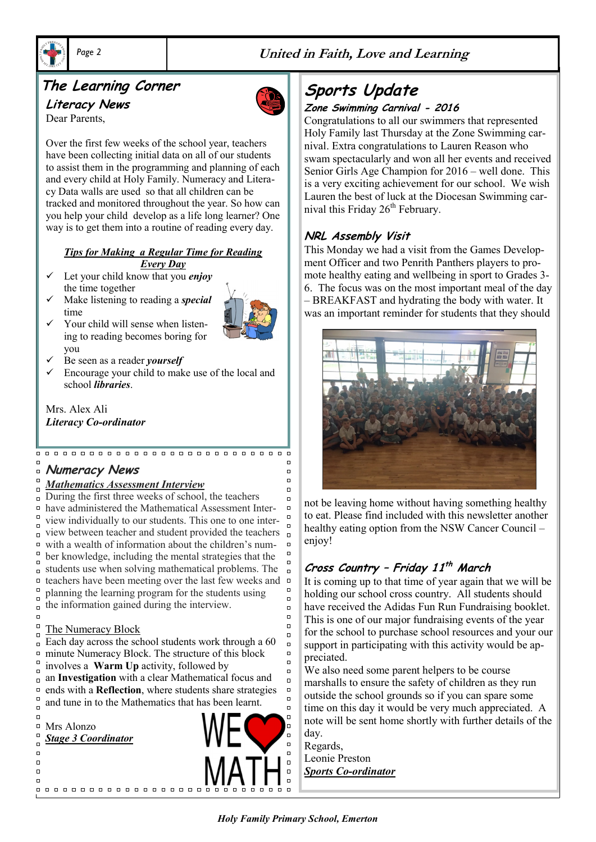



# **The Learning Corner**

**Literacy News** Dear Parents,

Over the first few weeks of the school year, teachers have been collecting initial data on all of our students to assist them in the programming and planning of each and every child at Holy Family. Numeracy and Literacy Data walls are used so that all children can be tracked and monitored throughout the year. So how can you help your child develop as a life long learner? One way is to get them into a routine of reading every day.

## *Tips for Making a Regular Time for Reading*

- *Every Day*
- Let your child know that you *enjoy* the time together
- Make listening to reading a *special* time Your child will sense when listen-

ing to reading becomes boring for



 $\Box$ 

 $\Box$  $\Box$ 

 $\Box$ 

 $\Box$ 

 $\Box$ 

 $\Box$ 

 $\Box$ 

 $\Box$ 

 $\Box$ 

 $\Box$  $\Box$ 

 $\Box$ 

 $\Box$  $\Box$ 

 $\Box$ 

 $\Box$  $\Box$ 

 $\overline{a}$  $\Box$ 

 $\Box$ 

 $\Box$ 

 $\Box$ 

 $\Box$ 

- you Be seen as a reader *yourself*
- Encourage your child to make use of the local and school *libraries*.

Mrs. Alex Ali *Literacy Co-ordinator*

#### $\Box$ **Numeracy News**  $\Box$

#### $\Box$ *Mathematics Assessment Interview*  $\Box$

During the first three weeks of school, the teachers  $\Box$  $\Box$ have administered the Mathematical Assessment Inter- $\Box$ view individually to our students. This one to one inter- $\Box$ view between teacher and student provided the teachers  $\Box$ with a wealth of information about the children's num- $\Box$  $\Box$ ber knowledge, including the mental strategies that the  $\Box$ students use when solving mathematical problems. The  $\Box$  $\Box$ teachers have been meeting over the last few weeks and  $\Box$ planning the learning program for the students using  $\Box$ the information gained during the interview.  $\Box$  $\Box$ 

#### $\Box$ The Numeracy Block  $\Box$

Each day across the school students work through a 60  $\Box$  $\Box$ minute Numeracy Block. The structure of this block  $\Box$ involves a **Warm Up** activity, followed by  $\Box$ 

an **Investigation** with a clear Mathematical focus and  $\Box$  $\Box$ ends with a **Reflection**, where students share strategies  $\Box$ and tune in to the Mathematics that has been learnt.  $\Box$ 

 $\Box$ Mrs Alonzo  $\Box$ *Stage 3 Coordinator*  $\Box$  $\Box$ 

000000000000000000

 $\Box$ 

 $\Box$ 

 $\bar{a}$ 



# **Sports Update**

# **Zone Swimming Carnival - 2016**

Congratulations to all our swimmers that represented Holy Family last Thursday at the Zone Swimming carnival. Extra congratulations to Lauren Reason who swam spectacularly and won all her events and received Senior Girls Age Champion for 2016 – well done. This is a very exciting achievement for our school. We wish Lauren the best of luck at the Diocesan Swimming carnival this Friday 26<sup>th</sup> February.

# **NRL Assembly Visit**

This Monday we had a visit from the Games Development Officer and two Penrith Panthers players to promote healthy eating and wellbeing in sport to Grades 3- 6. The focus was on the most important meal of the day – BREAKFAST and hydrating the body with water. It was an important reminder for students that they should



not be leaving home without having something healthy to eat. Please find included with this newsletter another healthy eating option from the NSW Cancer Council – enjoy!

# **Cross Country – Friday 11 th March**

It is coming up to that time of year again that we will be holding our school cross country. All students should have received the Adidas Fun Run Fundraising booklet. This is one of our major fundraising events of the year for the school to purchase school resources and your our support in participating with this activity would be appreciated.

We also need some parent helpers to be course marshalls to ensure the safety of children as they run outside the school grounds so if you can spare some time on this day it would be very much appreciated. A note will be sent home shortly with further details of the day.

Regards, Leonie Preston *Sports Co-ordinator*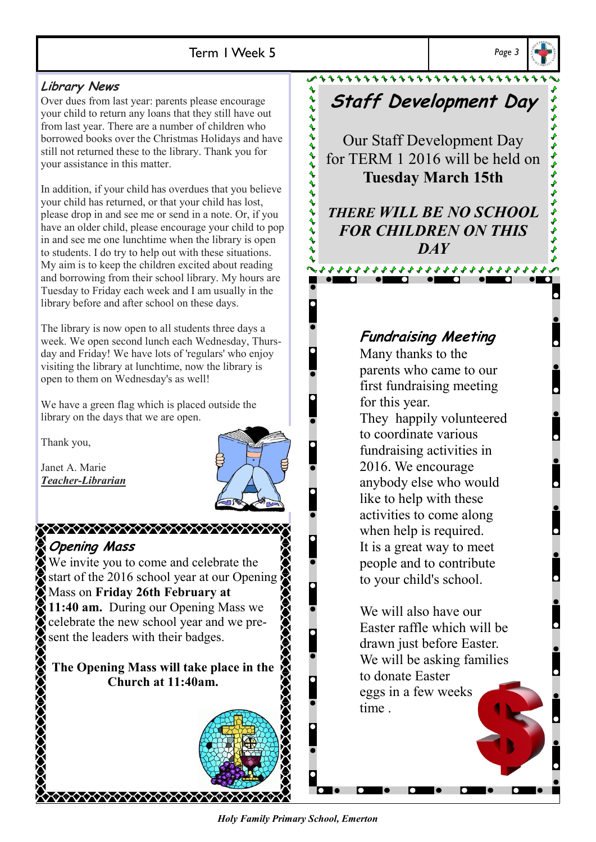Over dues from last year: parents please encourage your child to return any loans that they still have out from last year. There are a number of children who borrowed books over the Christmas Holidays and have still not returned these to the library. Thank you for your assistance in this matter.

In addition, if your child has overdues that you believe your child has returned, or that your child has lost, please drop in and see me or send in a note. Or, if you have an older child, please encourage your child to pop in and see me one lunchtime when the library is open to students. I do try to help out with these situations. My aim is to keep the children excited about reading and borrowing from their school library. My hours are Tuesday to Friday each week and I am usually in the library before and after school on these days.

The library is now open to all students three days a week. We open second lunch each Wednesday, Thursday and Friday! We have lots of 'regulars' who enjoy visiting the library at lunchtime, now the library is open to them on Wednesday's as well!

We have a green flag which is placed outside the library on the days that we are open.

Thank you,

Janet A. Marie *Teacher-Librarian*

XXXXXXXXXXXXXXXXXXXXXXXXXX

# **Opening Mass**

We invite you to come and celebrate the start of the 2016 school year at our Opening Mass on **Friday 26th February at 11:40 am.** During our Opening Mass we celebrate the new school year and we present the leaders with their badges.

**The Opening Mass will take place in the Church at 11:40am.** 

◆◇◇◇◇◆◇◇◇◇◇◆◇◇◇



1111111111111111111111111

Our Staff Development Day for TERM 1 2016 will be held on **Tuesday March 15th**

*THERE WILL BE NO SCHOOL FOR CHILDREN ON THIS DAY*

# **Fundraising Meeting**

Many thanks to the parents who came to our first fundraising meeting for this year.

They happily volunteered to coordinate various fundraising activities in 2016. We encourage anybody else who would like to help with these activities to come along when help is required. It is a great way to meet people and to contribute to your child's school.

We will also have our Easter raffle which will be drawn just before Easter. We will be asking families to donate Easter eggs in a few weeks time .

*Holy Family Primary School, Emerton*



✔

 $\bullet$